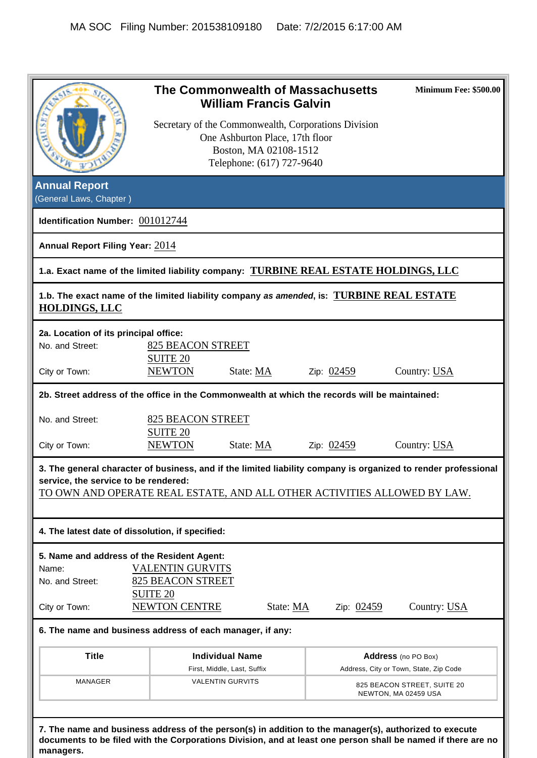| <b>Annual Report</b><br>(General Laws, Chapter)<br>Identification Number: 001012744<br>Annual Report Filing Year: 2014<br>1.a. Exact name of the limited liability company: TURBINE REAL ESTATE HOLDINGS, LLC<br>1.b. The exact name of the limited liability company as amended, is: TURBINE REAL ESTATE<br><b>HOLDINGS, LLC</b><br>2a. Location of its principal office:<br>No. and Street:<br>City or Town:<br>2b. Street address of the office in the Commonwealth at which the records will be maintained:<br>No. and Street: | <b>825 BEACON STREET</b><br><b>SUITE 20</b><br><b>NEWTON</b> | One Ashburton Place, 17th floor<br>Boston, MA 02108-1512<br>Telephone: (617) 727-9640<br>State: MA | Secretary of the Commonwealth, Corporations Division<br>Zip: $02459$ | Country: USA                                                                                                   |
|------------------------------------------------------------------------------------------------------------------------------------------------------------------------------------------------------------------------------------------------------------------------------------------------------------------------------------------------------------------------------------------------------------------------------------------------------------------------------------------------------------------------------------|--------------------------------------------------------------|----------------------------------------------------------------------------------------------------|----------------------------------------------------------------------|----------------------------------------------------------------------------------------------------------------|
|                                                                                                                                                                                                                                                                                                                                                                                                                                                                                                                                    |                                                              |                                                                                                    |                                                                      |                                                                                                                |
|                                                                                                                                                                                                                                                                                                                                                                                                                                                                                                                                    |                                                              |                                                                                                    |                                                                      |                                                                                                                |
|                                                                                                                                                                                                                                                                                                                                                                                                                                                                                                                                    |                                                              |                                                                                                    |                                                                      |                                                                                                                |
|                                                                                                                                                                                                                                                                                                                                                                                                                                                                                                                                    |                                                              |                                                                                                    |                                                                      |                                                                                                                |
|                                                                                                                                                                                                                                                                                                                                                                                                                                                                                                                                    |                                                              |                                                                                                    |                                                                      |                                                                                                                |
|                                                                                                                                                                                                                                                                                                                                                                                                                                                                                                                                    |                                                              |                                                                                                    |                                                                      |                                                                                                                |
|                                                                                                                                                                                                                                                                                                                                                                                                                                                                                                                                    |                                                              |                                                                                                    |                                                                      |                                                                                                                |
|                                                                                                                                                                                                                                                                                                                                                                                                                                                                                                                                    |                                                              |                                                                                                    |                                                                      |                                                                                                                |
|                                                                                                                                                                                                                                                                                                                                                                                                                                                                                                                                    |                                                              |                                                                                                    |                                                                      |                                                                                                                |
|                                                                                                                                                                                                                                                                                                                                                                                                                                                                                                                                    |                                                              |                                                                                                    |                                                                      |                                                                                                                |
|                                                                                                                                                                                                                                                                                                                                                                                                                                                                                                                                    |                                                              |                                                                                                    |                                                                      |                                                                                                                |
|                                                                                                                                                                                                                                                                                                                                                                                                                                                                                                                                    |                                                              |                                                                                                    |                                                                      |                                                                                                                |
|                                                                                                                                                                                                                                                                                                                                                                                                                                                                                                                                    |                                                              |                                                                                                    |                                                                      |                                                                                                                |
|                                                                                                                                                                                                                                                                                                                                                                                                                                                                                                                                    |                                                              |                                                                                                    |                                                                      |                                                                                                                |
|                                                                                                                                                                                                                                                                                                                                                                                                                                                                                                                                    | <b>825 BEACON STREET</b>                                     |                                                                                                    |                                                                      |                                                                                                                |
|                                                                                                                                                                                                                                                                                                                                                                                                                                                                                                                                    | <b>SUITE 20</b>                                              |                                                                                                    |                                                                      |                                                                                                                |
| City or Town:                                                                                                                                                                                                                                                                                                                                                                                                                                                                                                                      | <b>NEWTON</b>                                                | State: MA                                                                                          | Zip: 02459                                                           | Country: USA                                                                                                   |
|                                                                                                                                                                                                                                                                                                                                                                                                                                                                                                                                    |                                                              |                                                                                                    |                                                                      | 3. The general character of business, and if the limited liability company is organized to render professional |
| service, the service to be rendered:                                                                                                                                                                                                                                                                                                                                                                                                                                                                                               |                                                              |                                                                                                    |                                                                      |                                                                                                                |
| TO OWN AND OPERATE REAL ESTATE, AND ALL OTHER ACTIVITIES ALLOWED BY LAW.                                                                                                                                                                                                                                                                                                                                                                                                                                                           |                                                              |                                                                                                    |                                                                      |                                                                                                                |
| 4. The latest date of dissolution, if specified:                                                                                                                                                                                                                                                                                                                                                                                                                                                                                   |                                                              |                                                                                                    |                                                                      |                                                                                                                |
| 5. Name and address of the Resident Agent:                                                                                                                                                                                                                                                                                                                                                                                                                                                                                         |                                                              |                                                                                                    |                                                                      |                                                                                                                |
| Name:                                                                                                                                                                                                                                                                                                                                                                                                                                                                                                                              | <b>VALENTIN GURVITS</b>                                      |                                                                                                    |                                                                      |                                                                                                                |
| No. and Street:                                                                                                                                                                                                                                                                                                                                                                                                                                                                                                                    | <b>825 BEACON STREET</b>                                     |                                                                                                    |                                                                      |                                                                                                                |
|                                                                                                                                                                                                                                                                                                                                                                                                                                                                                                                                    | <b>SUITE 20</b>                                              |                                                                                                    |                                                                      |                                                                                                                |
| City or Town:                                                                                                                                                                                                                                                                                                                                                                                                                                                                                                                      | NEWTON CENTRE                                                | State: MA                                                                                          | Zip: $0.2459$                                                        | Country: USA                                                                                                   |
| 6. The name and business address of each manager, if any:                                                                                                                                                                                                                                                                                                                                                                                                                                                                          |                                                              |                                                                                                    |                                                                      |                                                                                                                |
| <b>Title</b>                                                                                                                                                                                                                                                                                                                                                                                                                                                                                                                       |                                                              | <b>Individual Name</b>                                                                             |                                                                      | Address (no PO Box)                                                                                            |
|                                                                                                                                                                                                                                                                                                                                                                                                                                                                                                                                    |                                                              | First, Middle, Last, Suffix                                                                        |                                                                      | Address, City or Town, State, Zip Code                                                                         |
| <b>MANAGER</b>                                                                                                                                                                                                                                                                                                                                                                                                                                                                                                                     |                                                              | <b>VALENTIN GURVITS</b>                                                                            |                                                                      | 825 BEACON STREET, SUITE 20<br>NEWTON, MA 02459 USA                                                            |
|                                                                                                                                                                                                                                                                                                                                                                                                                                                                                                                                    |                                                              |                                                                                                    |                                                                      |                                                                                                                |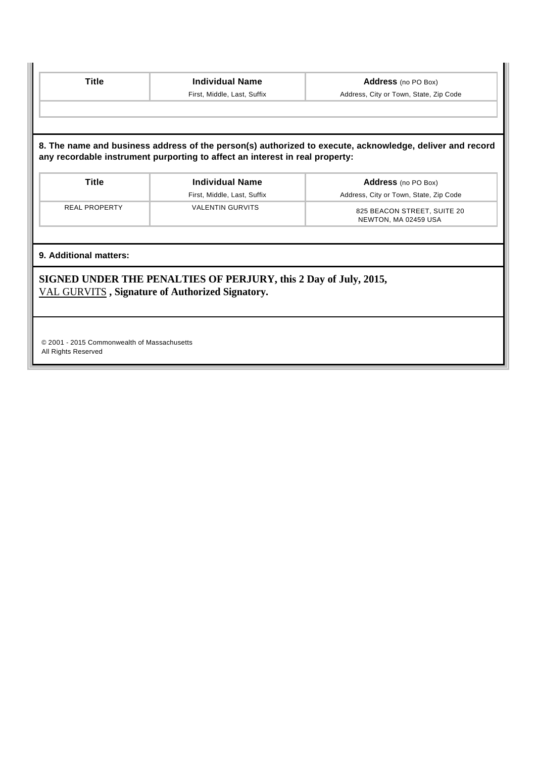| <b>Title</b>                                                       | <b>Individual Name</b>                                                                                              | Address (no PO Box)                                                                                      |
|--------------------------------------------------------------------|---------------------------------------------------------------------------------------------------------------------|----------------------------------------------------------------------------------------------------------|
|                                                                    | First, Middle, Last, Suffix                                                                                         | Address, City or Town, State, Zip Code                                                                   |
|                                                                    |                                                                                                                     |                                                                                                          |
|                                                                    |                                                                                                                     |                                                                                                          |
|                                                                    | any recordable instrument purporting to affect an interest in real property:                                        | 8. The name and business address of the person(s) authorized to execute, acknowledge, deliver and record |
| <b>Title</b>                                                       | <b>Individual Name</b>                                                                                              | Address (no PO Box)                                                                                      |
|                                                                    | First, Middle, Last, Suffix                                                                                         | Address, City or Town, State, Zip Code                                                                   |
| <b>REAL PROPERTY</b>                                               | <b>VALENTIN GURVITS</b>                                                                                             | 825 BEACON STREET, SUITE 20<br>NEWTON, MA 02459 USA                                                      |
| 9. Additional matters:                                             |                                                                                                                     |                                                                                                          |
|                                                                    | SIGNED UNDER THE PENALTIES OF PERJURY, this 2 Day of July, 2015,<br>VAL GURVITS, Signature of Authorized Signatory. |                                                                                                          |
|                                                                    |                                                                                                                     |                                                                                                          |
|                                                                    |                                                                                                                     |                                                                                                          |
|                                                                    |                                                                                                                     |                                                                                                          |
|                                                                    |                                                                                                                     |                                                                                                          |
| © 2001 - 2015 Commonwealth of Massachusetts<br>All Rights Reserved |                                                                                                                     |                                                                                                          |